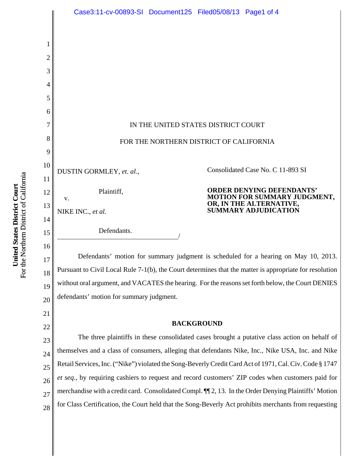

27 28 for Class Certification, the Court held that the Song-Beverly Act prohibits merchants from requesting

merchandise with a credit card. Consolidated Compl. ¶¶ 2, 13. In the Order Denying Plaintiffs' Motion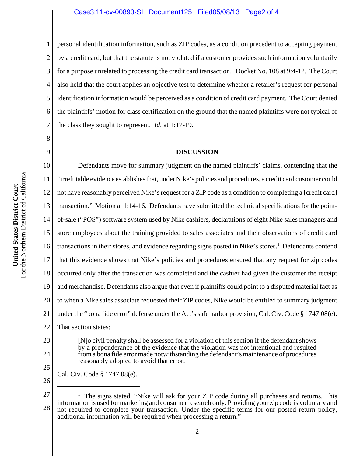1

8

9

2 3 4 5 6 7 personal identification information, such as ZIP codes, as a condition precedent to accepting payment by a credit card, but that the statute is not violated if a customer provides such information voluntarily for a purpose unrelated to processing the credit card transaction. Docket No. 108 at 9:4-12.The Court also held that the court applies an objective test to determine whether a retailer's request for personal identification information would be perceived as a condition of credit card payment. The Court denied the plaintiffs' motion for class certification on the ground that the named plaintiffs were not typical of the class they sought to represent. *Id*. at 1:17-19.

## **DISCUSSION**

10 11 12 13 14 15 16 17 18 19 20 21 22 Defendants move for summary judgment on the named plaintiffs' claims, contending that the "irrefutable evidence establishes that, under Nike's policies and procedures, a credit card customer could not have reasonably perceived Nike's request for a ZIP code as a condition to completing a [credit card] transaction." Motion at 1:14-16. Defendants have submitted the technical specifications for the pointof-sale ("POS") software system used by Nike cashiers, declarations of eight Nike sales managers and store employees about the training provided to sales associates and their observations of credit card transactions in their stores, and evidence regarding signs posted in Nike's stores.<sup>1</sup> Defendants contend that this evidence shows that Nike's policies and procedures ensured that any request for zip codes occurred only after the transaction was completed and the cashier had given the customer the receipt and merchandise. Defendants also argue that even if plaintiffs could point to a disputed material fact as to when a Nike sales associate requested their ZIP codes, Nike would be entitled to summary judgment under the "bona fide error" defense under the Act's safe harbor provision, Cal. Civ. Code § 1747.08(e). That section states:

[N]o civil penalty shall be assessed for a violation of this section if the defendant shows by a preponderance of the evidence that the violation was not intentional and resulted from a bona fide error made notwithstanding the defendant's maintenance of procedures reasonably adopted to avoid that error.

25

23

24

Cal. Civ. Code § 1747.08(e).

26

<sup>27</sup> 28 1 The signs stated, "Nike will ask for your ZIP code during all purchases and returns. This information is used for marketing and consumer research only. Providing your zip code is voluntary and not required to complete your transaction. Under the specific terms for our posted return policy, additional information will be required when processing a return."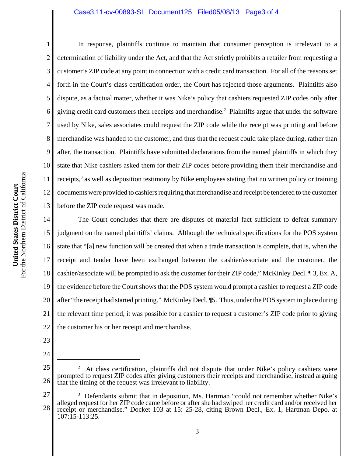## Case3:11-cv-00893-SI Document125 Filed05/08/13 Page3 of 4

1 2 3 4 5 6 7 8 9 10 11 12 13 In response, plaintiffs continue to maintain that consumer perception is irrelevant to a determination of liability under the Act, and that the Act strictly prohibits a retailer from requesting a customer's ZIP code at any point in connection with a credit card transaction. For all of the reasons set forth in the Court's class certification order, the Court has rejected those arguments. Plaintiffs also dispute, as a factual matter, whether it was Nike's policy that cashiers requested ZIP codes only after giving credit card customers their receipts and merchandise.<sup>2</sup> Plaintiffs argue that under the software used by Nike, sales associates could request the ZIP code while the receipt was printing and before merchandise was handed to the customer, and thus that the request could take place during, rather than after, the transaction. Plaintiffs have submitted declarations from the named plaintiffs in which they state that Nike cashiers asked them for their ZIP codes before providing them their merchandise and receipts,<sup>3</sup> as well as deposition testimony by Nike employees stating that no written policy or training documents were provided to cashiers requiring that merchandise and receipt be tendered to the customer before the ZIP code request was made.

14 15 16 17 18 19 20 21 22 The Court concludes that there are disputes of material fact sufficient to defeat summary judgment on the named plaintiffs' claims. Although the technical specifications for the POS system state that "[a] new function will be created that when a trade transaction is complete, that is, when the receipt and tender have been exchanged between the cashier/associate and the customer, the cashier/associate will be prompted to ask the customer for their ZIP code," McKinley Decl. ¶ 3, Ex. A, the evidence before the Court shows that the POS system would prompt a cashier to request a ZIP code after "the receipt had started printing." McKinley Decl. ¶5. Thus, under the POS system in place during the relevant time period, it was possible for a cashier to request a customer's ZIP code prior to giving the customer his or her receipt and merchandise.

23

<sup>24</sup>

<sup>25</sup> 26 2 At class certification, plaintiffs did not dispute that under Nike's policy cashiers were prompted to request ZIP codes after giving customers their receipts and merchandise, instead arguing that the timing of the request was irrelevant to liability.

<sup>27</sup> 28 <sup>3</sup> Defendants submit that in deposition, Ms. Hartman "could not remember whether Nike's alleged request for her ZIP code came before or after she had swiped her credit card and/or received her receipt or merchandise." Docket 103 at 15: 25-28, citing Brown Decl., Ex. 1, Hartman Depo. at 107:15-113:25.